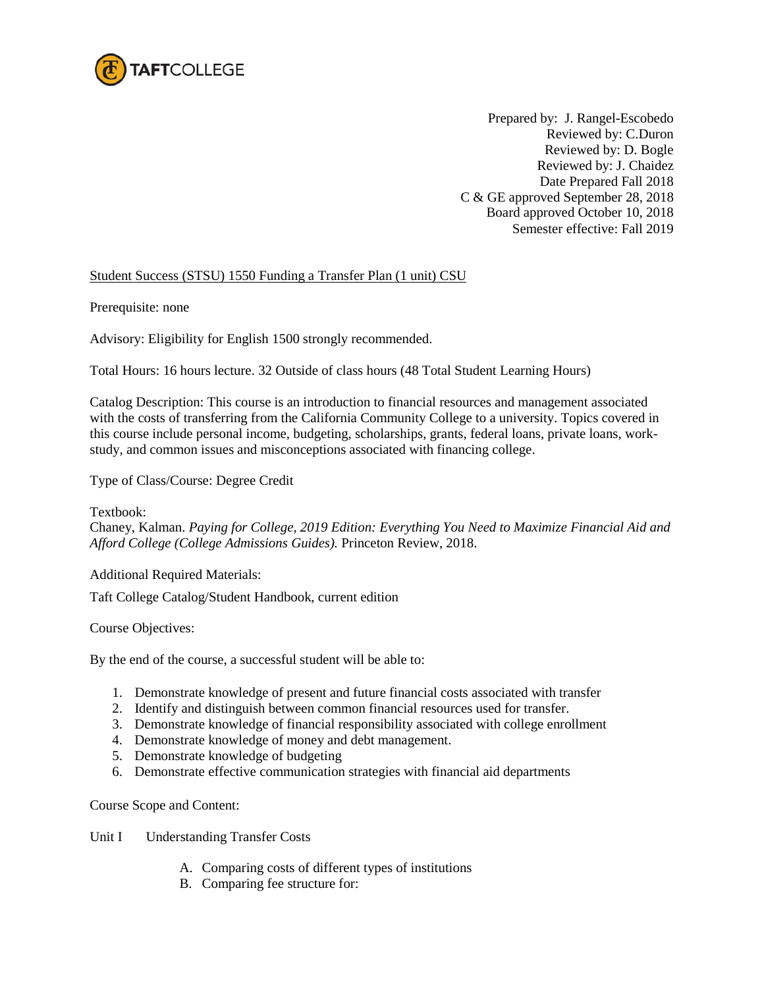

Prepared by: J. Rangel-Escobedo Reviewed by: C.Duron Reviewed by: D. Bogle Reviewed by: J. Chaidez Date Prepared Fall 2018 C & GE approved September 28, 2018 Board approved October 10, 2018 Semester effective: Fall 2019

## Student Success (STSU) 1550 Funding a Transfer Plan (1 unit) CSU

Prerequisite: none

Advisory: Eligibility for English 1500 strongly recommended.

Total Hours: 16 hours lecture. 32 Outside of class hours (48 Total Student Learning Hours)

Catalog Description: This course is an introduction to financial resources and management associated with the costs of transferring from the California Community College to a university. Topics covered in this course include personal income, budgeting, scholarships, grants, federal loans, private loans, workstudy, and common issues and misconceptions associated with financing college.

Type of Class/Course: Degree Credit

Textbook:

Chaney, Kalman. *Paying for College, 2019 Edition: Everything You Need to Maximize Financial Aid and Afford College (College Admissions Guides).* Princeton Review, 2018.

Additional Required Materials:

Taft College Catalog/Student Handbook, current edition

Course Objectives:

By the end of the course, a successful student will be able to:

- 1. Demonstrate knowledge of present and future financial costs associated with transfer
- 2. Identify and distinguish between common financial resources used for transfer.
- 3. Demonstrate knowledge of financial responsibility associated with college enrollment
- 4. Demonstrate knowledge of money and debt management.
- 5. Demonstrate knowledge of budgeting
- 6. Demonstrate effective communication strategies with financial aid departments

Course Scope and Content:

Unit I Understanding Transfer Costs

- A. Comparing costs of different types of institutions
- B. Comparing fee structure for: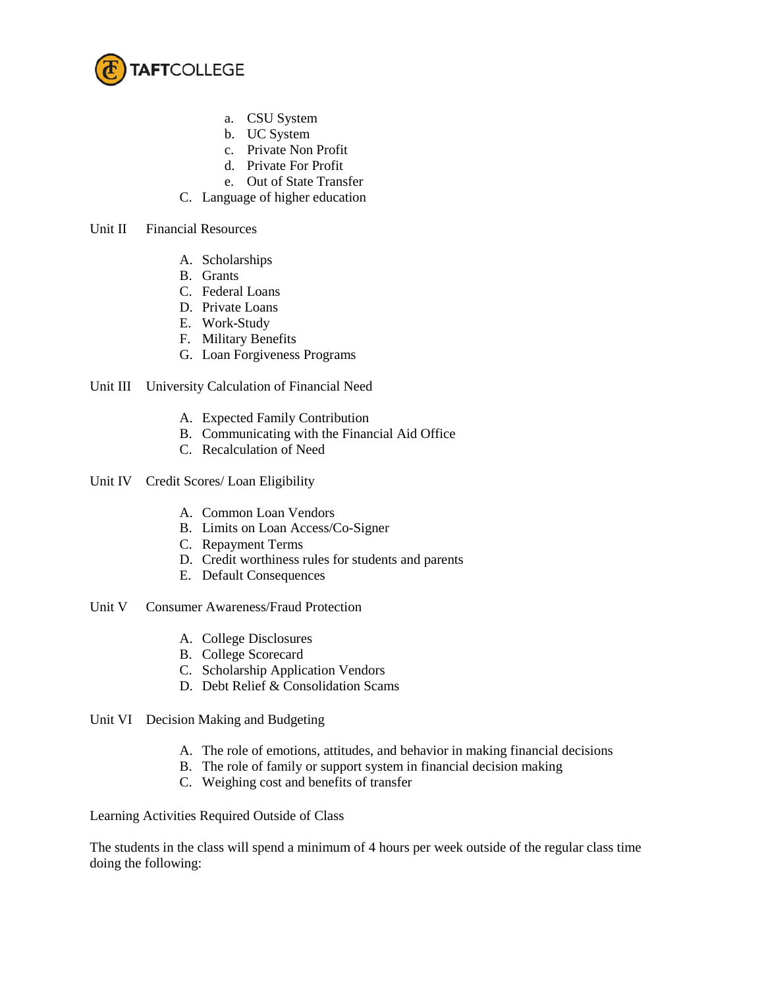

- a. CSU System
- b. UC System
- c. Private Non Profit
- d. Private For Profit
- e. Out of State Transfer
- C. Language of higher education

Unit II Financial Resources

- A. Scholarships
- B. Grants
- C. Federal Loans
- D. Private Loans
- E. Work-Study
- F. Military Benefits
- G. Loan Forgiveness Programs

## Unit III University Calculation of Financial Need

- A. Expected Family Contribution
- B. Communicating with the Financial Aid Office
- C. Recalculation of Need

Unit IV Credit Scores/ Loan Eligibility

- A. Common Loan Vendors
- B. Limits on Loan Access/Co-Signer
- C. Repayment Terms
- D. Credit worthiness rules for students and parents
- E. Default Consequences
- Unit V Consumer Awareness/Fraud Protection
	- A. College Disclosures
	- B. College Scorecard
	- C. Scholarship Application Vendors
	- D. Debt Relief & Consolidation Scams
- Unit VI Decision Making and Budgeting
	- A. The role of emotions, attitudes, and behavior in making financial decisions
	- B. The role of family or support system in financial decision making
	- C. Weighing cost and benefits of transfer

Learning Activities Required Outside of Class

The students in the class will spend a minimum of 4 hours per week outside of the regular class time doing the following: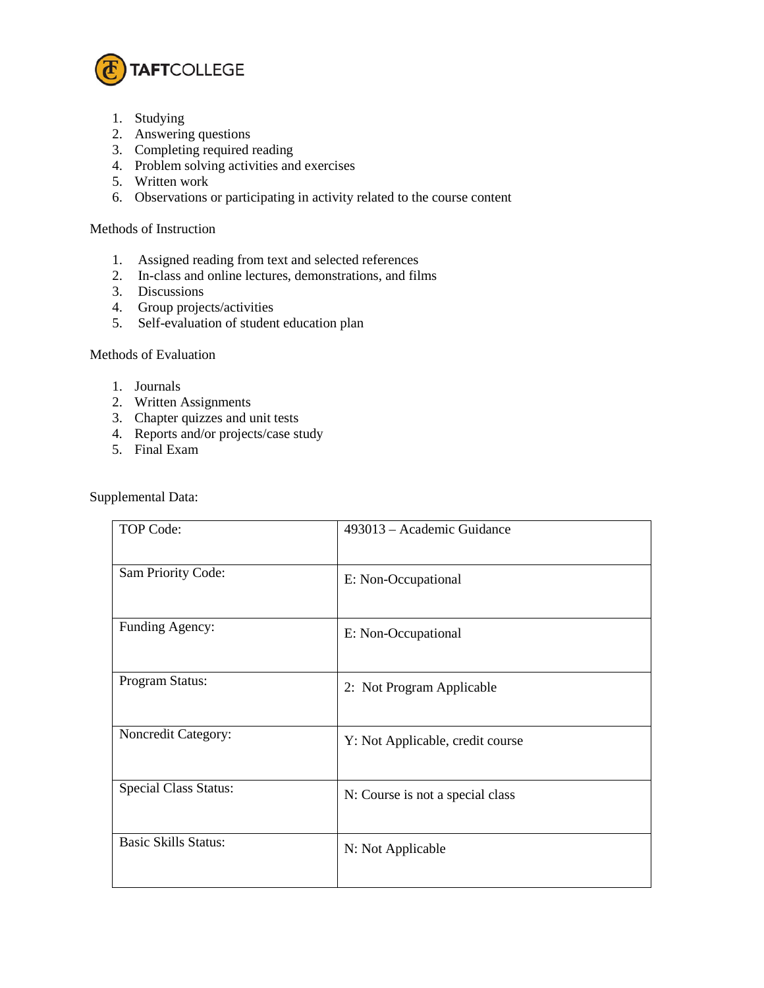

- 1. Studying
- 2. Answering questions
- 3. Completing required reading
- 4. Problem solving activities and exercises
- 5. Written work
- 6. Observations or participating in activity related to the course content

## Methods of Instruction

- 1. Assigned reading from text and selected references
- 2. In-class and online lectures, demonstrations, and films
- 3. Discussions
- 4. Group projects/activities
- 5. Self-evaluation of student education plan

## Methods of Evaluation

- 1. Journals
- 2. Written Assignments
- 3. Chapter quizzes and unit tests
- 4. Reports and/or projects/case study
- 5. Final Exam

Supplemental Data:

| TOP Code:                    | 493013 – Academic Guidance       |
|------------------------------|----------------------------------|
| Sam Priority Code:           | E: Non-Occupational              |
| Funding Agency:              | E: Non-Occupational              |
| Program Status:              | 2: Not Program Applicable        |
| Noncredit Category:          | Y: Not Applicable, credit course |
| <b>Special Class Status:</b> | N: Course is not a special class |
| <b>Basic Skills Status:</b>  | N: Not Applicable                |